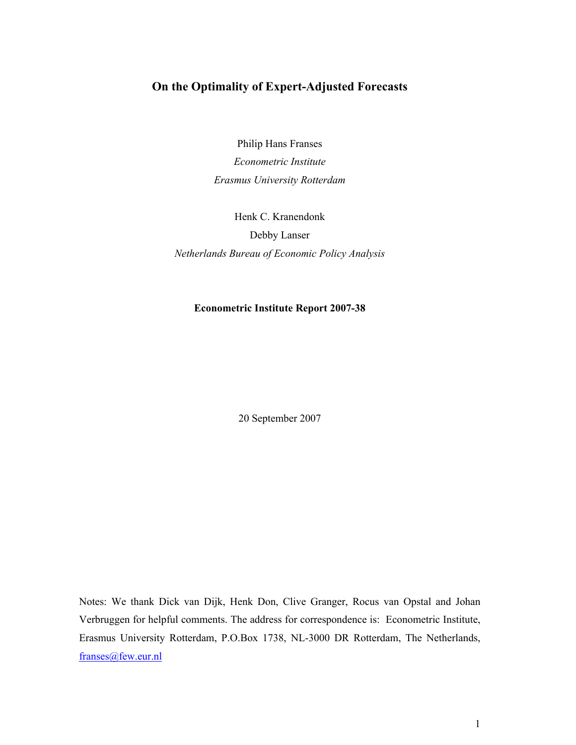## On the Optimality of Expert-Adjusted Forecasts

Philip Hans Franses Econometric Institute Erasmus University Rotterdam

Henk C. Kranendonk Debby Lanser Netherlands Bureau of Economic Policy Analysis

## **Econometric Institute Report 2007-38**

20 September 2007

Notes: We thank Dick van Dijk, Henk Don, Clive Granger, Rocus van Opstal and Johan Verbruggen for helpful comments. The address for correspondence is: Econometric Institute, Erasmus University Rotterdam, P.O.Box 1738, NL-3000 DR Rotterdam, The Netherlands, franses@few.eur.nl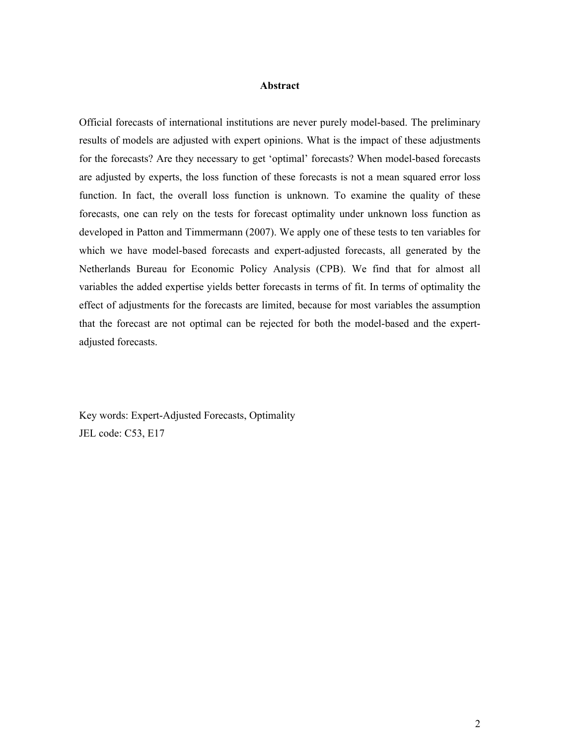### **Abstract**

Official forecasts of international institutions are never purely model-based. The preliminary results of models are adjusted with expert opinions. What is the impact of these adjustments for the forecasts? Are they necessary to get 'optimal' forecasts? When model-based forecasts are adjusted by experts, the loss function of these forecasts is not a mean squared error loss function. In fact, the overall loss function is unknown. To examine the quality of these forecasts, one can rely on the tests for forecast optimality under unknown loss function as developed in Patton and Timmermann (2007). We apply one of these tests to ten variables for which we have model-based forecasts and expert-adjusted forecasts, all generated by the Netherlands Bureau for Economic Policy Analysis (CPB). We find that for almost all variables the added expertise yields better forecasts in terms of fit. In terms of optimality the effect of adjustments for the forecasts are limited, because for most variables the assumption that the forecast are not optimal can be rejected for both the model-based and the expertadjusted forecasts.

Key words: Expert-Adjusted Forecasts, Optimality JEL code: C53, E17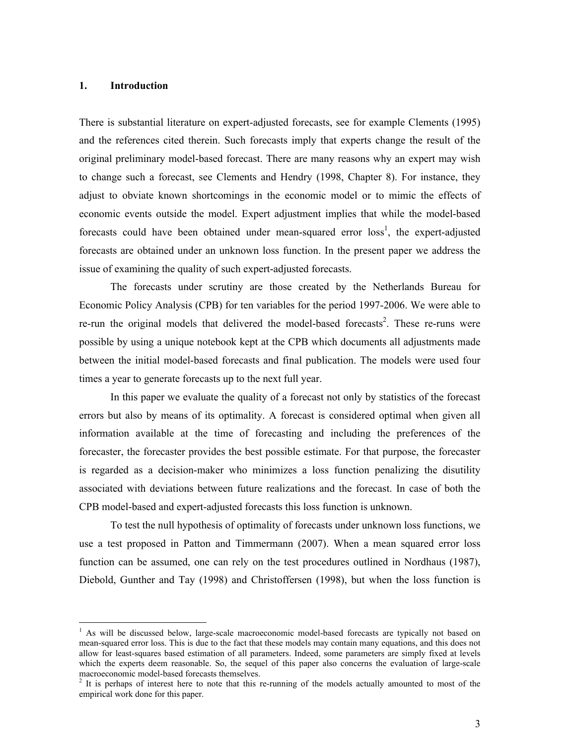#### **Introduction**  $1<sub>1</sub>$

There is substantial literature on expert-adjusted forecasts, see for example Clements (1995) and the references cited therein. Such forecasts imply that experts change the result of the original preliminary model-based forecast. There are many reasons why an expert may wish to change such a forecast, see Clements and Hendry (1998, Chapter 8). For instance, they adjust to obviate known shortcomings in the economic model or to mimic the effects of economic events outside the model. Expert adjustment implies that while the model-based forecasts could have been obtained under mean-squared error loss<sup>1</sup>, the expert-adjusted forecasts are obtained under an unknown loss function. In the present paper we address the issue of examining the quality of such expert-adjusted forecasts.

The forecasts under scrutiny are those created by the Netherlands Bureau for Economic Policy Analysis (CPB) for ten variables for the period 1997-2006. We were able to re-run the original models that delivered the model-based forecasts<sup>2</sup>. These re-runs were possible by using a unique notebook kept at the CPB which documents all adjustments made between the initial model-based forecasts and final publication. The models were used four times a year to generate forecasts up to the next full year.

In this paper we evaluate the quality of a forecast not only by statistics of the forecast errors but also by means of its optimality. A forecast is considered optimal when given all information available at the time of forecasting and including the preferences of the forecaster, the forecaster provides the best possible estimate. For that purpose, the forecaster is regarded as a decision-maker who minimizes a loss function penalizing the disutility associated with deviations between future realizations and the forecast. In case of both the CPB model-based and expert-adjusted forecasts this loss function is unknown.

To test the null hypothesis of optimality of forecasts under unknown loss functions, we use a test proposed in Patton and Timmermann (2007). When a mean squared error loss function can be assumed, one can rely on the test procedures outlined in Nordhaus (1987), Diebold, Gunther and Tay (1998) and Christoffersen (1998), but when the loss function is

<sup>&</sup>lt;sup>1</sup> As will be discussed below, large-scale macroeconomic model-based forecasts are typically not based on mean-squared error loss. This is due to the fact that these models may contain many equations, and this does not allow for least-squares based estimation of all parameters. Indeed, some parameters are simply fixed at levels which the experts deem reasonable. So, the sequel of this paper also concerns the evaluation of large-scale macroeconomic model-based forecasts themselves.

<sup>&</sup>lt;sup>2</sup> It is perhaps of interest here to note that this re-running of the models actually amounted to most of the empirical work done for this paper.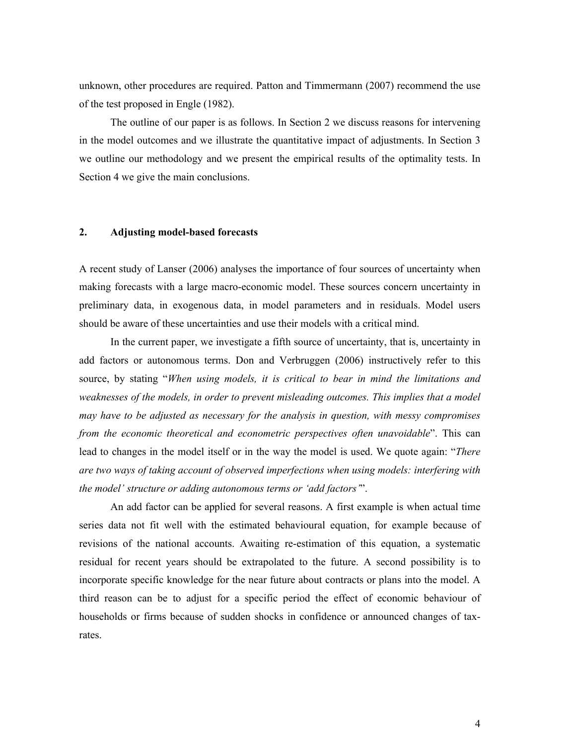unknown, other procedures are required. Patton and Timmermann (2007) recommend the use of the test proposed in Engle (1982).

The outline of our paper is as follows. In Section 2 we discuss reasons for intervening in the model outcomes and we illustrate the quantitative impact of adjustments. In Section 3 we outline our methodology and we present the empirical results of the optimality tests. In Section 4 we give the main conclusions.

#### $2.$ **Adjusting model-based forecasts**

A recent study of Lanser (2006) analyses the importance of four sources of uncertainty when making forecasts with a large macro-economic model. These sources concern uncertainty in preliminary data, in exogenous data, in model parameters and in residuals. Model users should be aware of these uncertainties and use their models with a critical mind.

In the current paper, we investigate a fifth source of uncertainty, that is, uncertainty in add factors or autonomous terms. Don and Verbruggen (2006) instructively refer to this source, by stating "When using models, it is critical to bear in mind the limitations and weaknesses of the models, in order to prevent misleading outcomes. This implies that a model may have to be adjusted as necessary for the analysis in question, with messy compromises from the economic theoretical and econometric perspectives often unavoidable". This can lead to changes in the model itself or in the way the model is used. We quote again: "There are two ways of taking account of observed imperfections when using models: interfering with the model' structure or adding autonomous terms or 'add factors".

An add factor can be applied for several reasons. A first example is when actual time series data not fit well with the estimated behavioural equation, for example because of revisions of the national accounts. Awaiting re-estimation of this equation, a systematic residual for recent years should be extrapolated to the future. A second possibility is to incorporate specific knowledge for the near future about contracts or plans into the model. A third reason can be to adjust for a specific period the effect of economic behaviour of households or firms because of sudden shocks in confidence or announced changes of taxrates.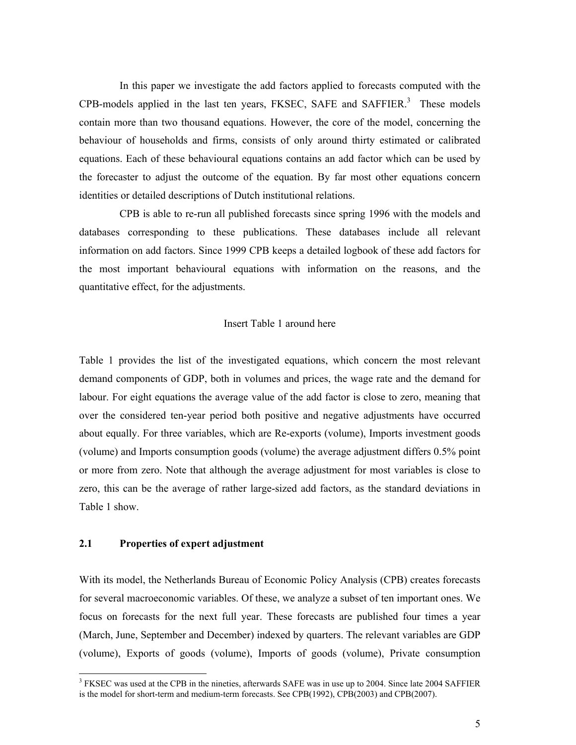In this paper we investigate the add factors applied to forecasts computed with the CPB-models applied in the last ten years, FKSEC, SAFE and SAFFIER.<sup>3</sup> These models contain more than two thousand equations. However, the core of the model, concerning the behaviour of households and firms, consists of only around thirty estimated or calibrated equations. Each of these behavioural equations contains an add factor which can be used by the forecaster to adjust the outcome of the equation. By far most other equations concern identities or detailed descriptions of Dutch institutional relations.

CPB is able to re-run all published forecasts since spring 1996 with the models and databases corresponding to these publications. These databases include all relevant information on add factors. Since 1999 CPB keeps a detailed logbook of these add factors for the most important behavioural equations with information on the reasons, and the quantitative effect, for the adjustments.

## Insert Table 1 around here

Table 1 provides the list of the investigated equations, which concern the most relevant demand components of GDP, both in volumes and prices, the wage rate and the demand for labour. For eight equations the average value of the add factor is close to zero, meaning that over the considered ten-year period both positive and negative adjustments have occurred about equally. For three variables, which are Re-exports (volume), Imports investment goods (volume) and Imports consumption goods (volume) the average adjustment differs 0.5% point or more from zero. Note that although the average adjustment for most variables is close to zero, this can be the average of rather large-sized add factors, as the standard deviations in Table 1 show.

#### $2.1$ Properties of expert adjustment

With its model, the Netherlands Bureau of Economic Policy Analysis (CPB) creates forecasts for several macroeconomic variables. Of these, we analyze a subset of ten important ones. We focus on forecasts for the next full year. These forecasts are published four times a year (March, June, September and December) indexed by quarters. The relevant variables are GDP (volume), Exports of goods (volume), Imports of goods (volume), Private consumption

<sup>&</sup>lt;sup>3</sup> FKSEC was used at the CPB in the nineties, afterwards SAFE was in use up to 2004. Since late 2004 SAFFIER is the model for short-term and medium-term forecasts. See CPB(1992), CPB(2003) and CPB(2007).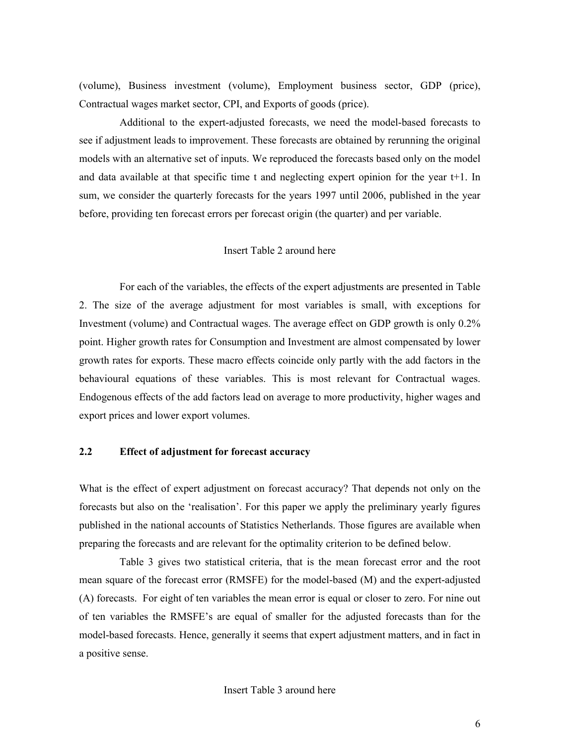(volume), Business investment (volume), Employment business sector, GDP (price), Contractual wages market sector, CPI, and Exports of goods (price).

Additional to the expert-adjusted forecasts, we need the model-based forecasts to see if adjustment leads to improvement. These forecasts are obtained by rerunning the original models with an alternative set of inputs. We reproduced the forecasts based only on the model and data available at that specific time t and neglecting expert opinion for the year t+1. In sum, we consider the quarterly forecasts for the years 1997 until 2006, published in the year before, providing ten forecast errors per forecast origin (the quarter) and per variable.

## Insert Table 2 around here

For each of the variables, the effects of the expert adjustments are presented in Table 2. The size of the average adjustment for most variables is small, with exceptions for Investment (volume) and Contractual wages. The average effect on GDP growth is only 0.2% point. Higher growth rates for Consumption and Investment are almost compensated by lower growth rates for exports. These macro effects coincide only partly with the add factors in the behavioural equations of these variables. This is most relevant for Contractual wages. Endogenous effects of the add factors lead on average to more productivity, higher wages and export prices and lower export volumes.

#### $2.2$ **Effect of adjustment for forecast accuracy**

What is the effect of expert adjustment on forecast accuracy? That depends not only on the forecasts but also on the 'realisation'. For this paper we apply the preliminary yearly figures published in the national accounts of Statistics Netherlands. Those figures are available when preparing the forecasts and are relevant for the optimality criterion to be defined below.

Table 3 gives two statistical criteria, that is the mean forecast error and the root mean square of the forecast error (RMSFE) for the model-based (M) and the expert-adjusted (A) forecasts. For eight of ten variables the mean error is equal or closer to zero. For nine out of ten variables the RMSFE's are equal of smaller for the adjusted forecasts than for the model-based forecasts. Hence, generally it seems that expert adjustment matters, and in fact in a positive sense.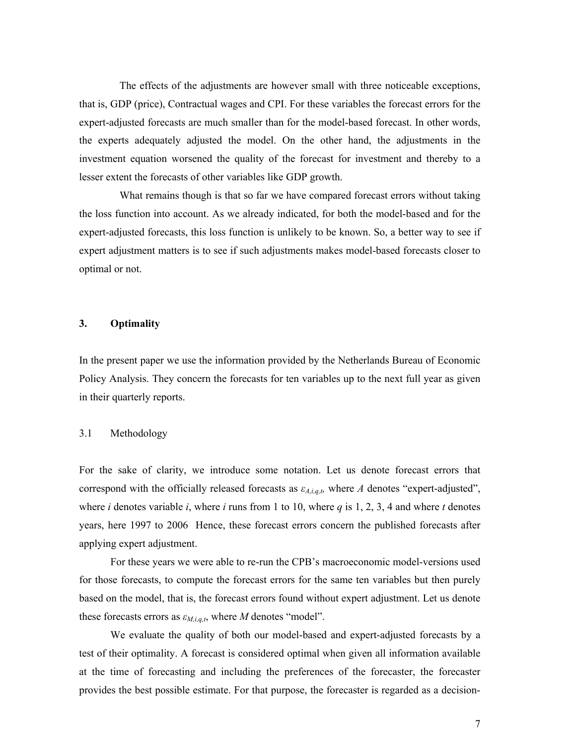The effects of the adjustments are however small with three noticeable exceptions, that is, GDP (price), Contractual wages and CPI. For these variables the forecast errors for the expert-adjusted forecasts are much smaller than for the model-based forecast. In other words, the experts adequately adjusted the model. On the other hand, the adjustments in the investment equation worsened the quality of the forecast for investment and thereby to a lesser extent the forecasts of other variables like GDP growth.

What remains though is that so far we have compared forecast errors without taking the loss function into account. As we already indicated, for both the model-based and for the expert-adjusted forecasts, this loss function is unlikely to be known. So, a better way to see if expert adjustment matters is to see if such adjustments makes model-based forecasts closer to optimal or not.

#### **Optimality** 3.

In the present paper we use the information provided by the Netherlands Bureau of Economic Policy Analysis. They concern the forecasts for ten variables up to the next full year as given in their quarterly reports.

#### $3.1$ Methodology

For the sake of clarity, we introduce some notation. Let us denote forecast errors that correspond with the officially released forecasts as  $\varepsilon_{A,i,q,t}$ , where A denotes "expert-adjusted", where *i* denotes variable *i*, where *i* runs from 1 to 10, where *q* is 1, 2, 3, 4 and where *t* denotes years, here 1997 to 2006 Hence, these forecast errors concern the published forecasts after applying expert adjustment.

For these years we were able to re-run the CPB's macroeconomic model-versions used for those forecasts, to compute the forecast errors for the same ten variables but then purely based on the model, that is, the forecast errors found without expert adjustment. Let us denote these forecasts errors as  $\varepsilon_{M,i,q,t}$ , where M denotes "model".

We evaluate the quality of both our model-based and expert-adjusted forecasts by a test of their optimality. A forecast is considered optimal when given all information available at the time of forecasting and including the preferences of the forecaster, the forecaster provides the best possible estimate. For that purpose, the forecaster is regarded as a decision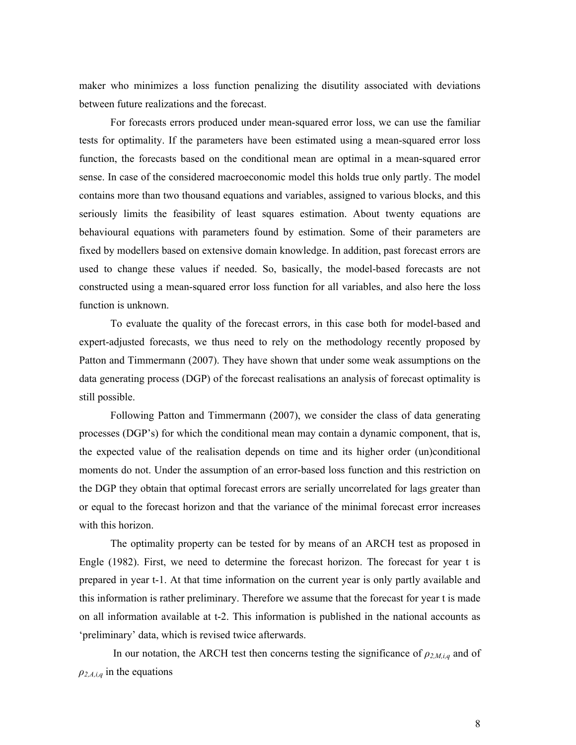maker who minimizes a loss function penalizing the disutility associated with deviations between future realizations and the forecast.

For forecasts errors produced under mean-squared error loss, we can use the familiar tests for optimality. If the parameters have been estimated using a mean-squared error loss function, the forecasts based on the conditional mean are optimal in a mean-squared error sense. In case of the considered macroeconomic model this holds true only partly. The model contains more than two thousand equations and variables, assigned to various blocks, and this seriously limits the feasibility of least squares estimation. About twenty equations are behavioural equations with parameters found by estimation. Some of their parameters are fixed by modellers based on extensive domain knowledge. In addition, past forecast errors are used to change these values if needed. So, basically, the model-based forecasts are not constructed using a mean-squared error loss function for all variables, and also here the loss function is unknown.

To evaluate the quality of the forecast errors, in this case both for model-based and expert-adjusted forecasts, we thus need to rely on the methodology recently proposed by Patton and Timmermann (2007). They have shown that under some weak assumptions on the data generating process (DGP) of the forecast realisations an analysis of forecast optimality is still possible.

Following Patton and Timmermann (2007), we consider the class of data generating processes (DGP's) for which the conditional mean may contain a dynamic component, that is, the expected value of the realisation depends on time and its higher order (un)conditional moments do not. Under the assumption of an error-based loss function and this restriction on the DGP they obtain that optimal forecast errors are serially uncorrelated for lags greater than or equal to the forecast horizon and that the variance of the minimal forecast error increases with this horizon.

The optimality property can be tested for by means of an ARCH test as proposed in Engle (1982). First, we need to determine the forecast horizon. The forecast for year t is prepared in year t-1. At that time information on the current year is only partly available and this information is rather preliminary. Therefore we assume that the forecast for year t is made on all information available at t-2. This information is published in the national accounts as 'preliminary' data, which is revised twice afterwards.

In our notation, the ARCH test then concerns testing the significance of  $\rho_{2,M,i,q}$  and of  $\rho_{2,A,i,q}$  in the equations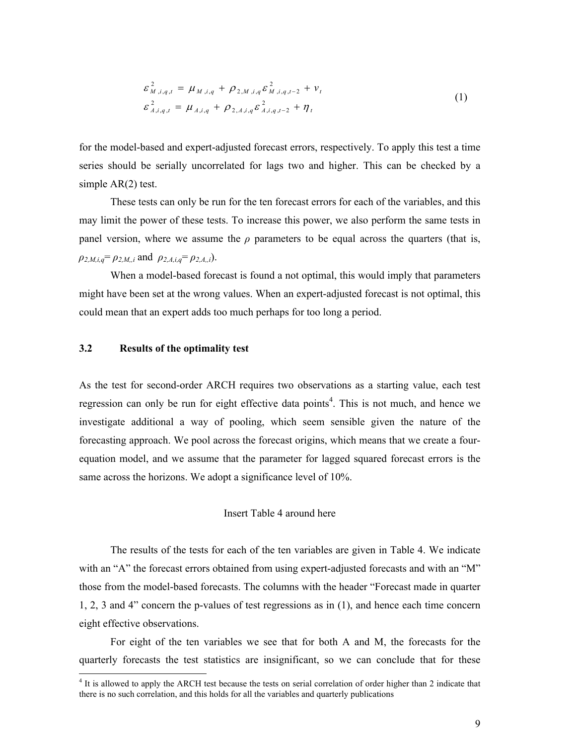$$
\varepsilon_{M,i,q,t}^{2} = \mu_{M,i,q} + \rho_{2,M,i,q} \varepsilon_{M,i,q,t-2}^{2} + \nu_{t}
$$
\n
$$
\varepsilon_{A,i,q,t}^{2} = \mu_{A,i,q} + \rho_{2,A,i,q} \varepsilon_{A,i,q,t-2}^{2} + \eta_{t}
$$
\n(1)

for the model-based and expert-adjusted forecast errors, respectively. To apply this test a time series should be serially uncorrelated for lags two and higher. This can be checked by a simple  $AR(2)$  test.

These tests can only be run for the ten forecast errors for each of the variables, and this may limit the power of these tests. To increase this power, we also perform the same tests in panel version, where we assume the  $\rho$  parameters to be equal across the quarters (that is,  $\rho_{2,M,i,q} = \rho_{2,M,i}$  and  $\rho_{2,A,i,q} = \rho_{2,A,i}$ .

When a model-based forecast is found a not optimal, this would imply that parameters might have been set at the wrong values. When an expert-adjusted forecast is not optimal, this could mean that an expert adds too much perhaps for too long a period.

#### $3.2$ Results of the optimality test

As the test for second-order ARCH requires two observations as a starting value, each test regression can only be run for eight effective data points<sup>4</sup>. This is not much, and hence we investigate additional a way of pooling, which seem sensible given the nature of the forecasting approach. We pool across the forecast origins, which means that we create a fourequation model, and we assume that the parameter for lagged squared forecast errors is the same across the horizons. We adopt a significance level of 10%.

### Insert Table 4 around here

The results of the tests for each of the ten variables are given in Table 4. We indicate with an "A" the forecast errors obtained from using expert-adjusted forecasts and with an "M" those from the model-based forecasts. The columns with the header "Forecast made in quarter  $1, 2, 3$  and 4" concern the p-values of test regressions as in  $(1)$ , and hence each time concern eight effective observations.

For eight of the ten variables we see that for both A and M, the forecasts for the quarterly forecasts the test statistics are insignificant, so we can conclude that for these

<sup>&</sup>lt;sup>4</sup> It is allowed to apply the ARCH test because the tests on serial correlation of order higher than 2 indicate that there is no such correlation, and this holds for all the variables and quarterly publications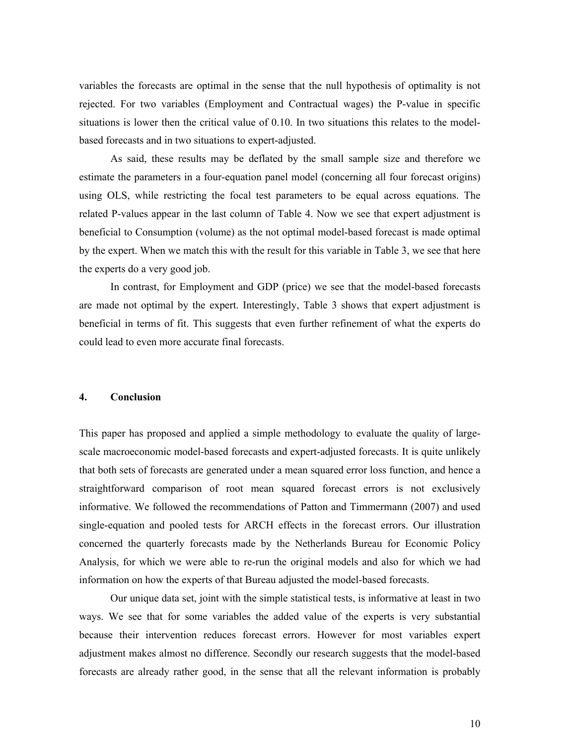variables the forecasts are optimal in the sense that the null hypothesis of optimality is not rejected. For two variables (Employment and Contractual wages) the P-value in specific situations is lower then the critical value of 0.10. In two situations this relates to the modelbased forecasts and in two situations to expert-adjusted.

As said, these results may be deflated by the small sample size and therefore we estimate the parameters in a four-equation panel model (concerning all four forecast origins) using OLS, while restricting the focal test parameters to be equal across equations. The related P-values appear in the last column of Table 4. Now we see that expert adjustment is beneficial to Consumption (volume) as the not optimal model-based forecast is made optimal by the expert. When we match this with the result for this variable in Table 3, we see that here the experts do a very good job.

In contrast, for Employment and GDP (price) we see that the model-based forecasts are made not optimal by the expert. Interestingly, Table 3 shows that expert adjustment is beneficial in terms of fit. This suggests that even further refinement of what the experts do could lead to even more accurate final forecasts.

#### 4. Conclusion

This paper has proposed and applied a simple methodology to evaluate the quality of largescale macroeconomic model-based forecasts and expert-adjusted forecasts. It is quite unlikely that both sets of forecasts are generated under a mean squared error loss function, and hence a straightforward comparison of root mean squared forecast errors is not exclusively informative. We followed the recommendations of Patton and Timmermann (2007) and used single-equation and pooled tests for ARCH effects in the forecast errors. Our illustration concerned the quarterly forecasts made by the Netherlands Bureau for Economic Policy Analysis, for which we were able to re-run the original models and also for which we had information on how the experts of that Bureau adjusted the model-based forecasts.

Our unique data set, joint with the simple statistical tests, is informative at least in two ways. We see that for some variables the added value of the experts is very substantial because their intervention reduces forecast errors. However for most variables expert adjustment makes almost no difference. Secondly our research suggests that the model-based forecasts are already rather good, in the sense that all the relevant information is probably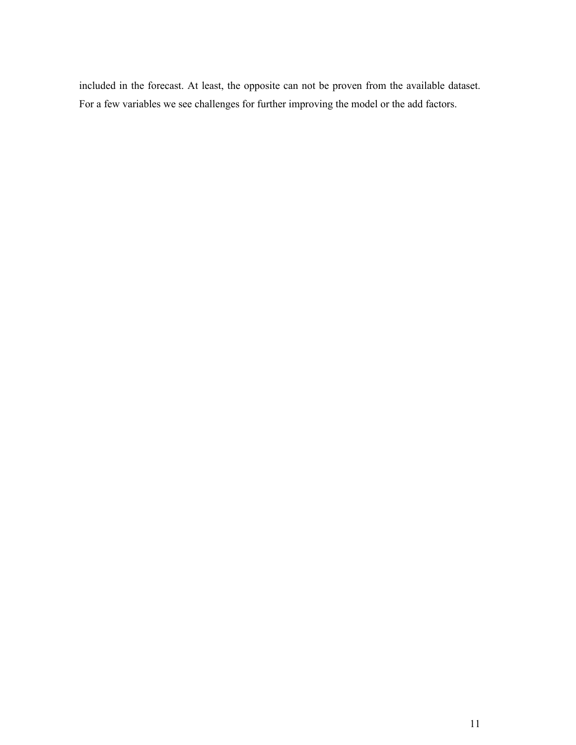included in the forecast. At least, the opposite can not be proven from the available dataset. For a few variables we see challenges for further improving the model or the add factors.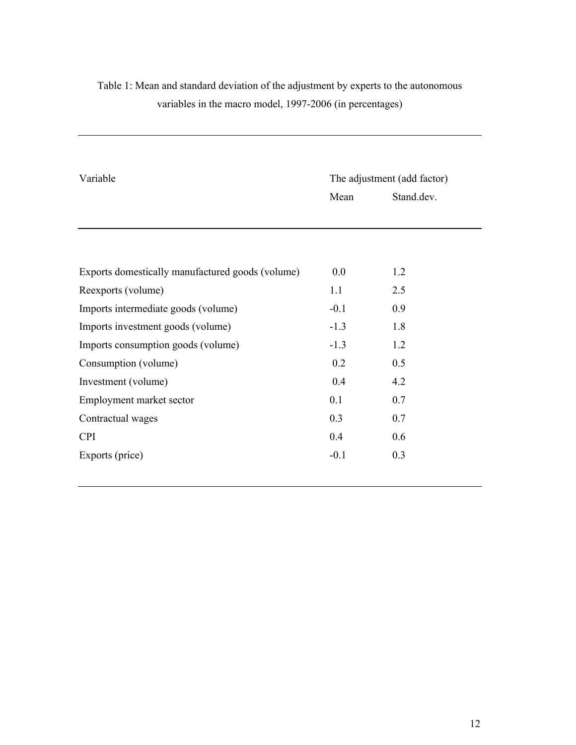| Variable                                         | The adjustment (add factor) |            |  |  |
|--------------------------------------------------|-----------------------------|------------|--|--|
|                                                  | Mean                        | Stand.dev. |  |  |
|                                                  |                             |            |  |  |
|                                                  |                             |            |  |  |
|                                                  |                             |            |  |  |
| Exports domestically manufactured goods (volume) | 0.0                         | 1.2        |  |  |
| Reexports (volume)                               | 1.1                         | 2.5        |  |  |
| Imports intermediate goods (volume)              | $-0.1$                      | 0.9        |  |  |
| Imports investment goods (volume)                | $-1.3$                      | 1.8        |  |  |
| Imports consumption goods (volume)               | $-1.3$                      | 1.2        |  |  |
| Consumption (volume)                             | 0.2                         | 0.5        |  |  |
| Investment (volume)                              | 0.4                         | 4.2        |  |  |
| Employment market sector                         | 0.1                         | 0.7        |  |  |
| Contractual wages                                | 0.3                         | 0.7        |  |  |
| <b>CPI</b>                                       | 0.4                         | 0.6        |  |  |
| Exports (price)                                  | $-0.1$                      | 0.3        |  |  |

# Table 1: Mean and standard deviation of the adjustment by experts to the autonomous variables in the macro model, 1997-2006 (in percentages)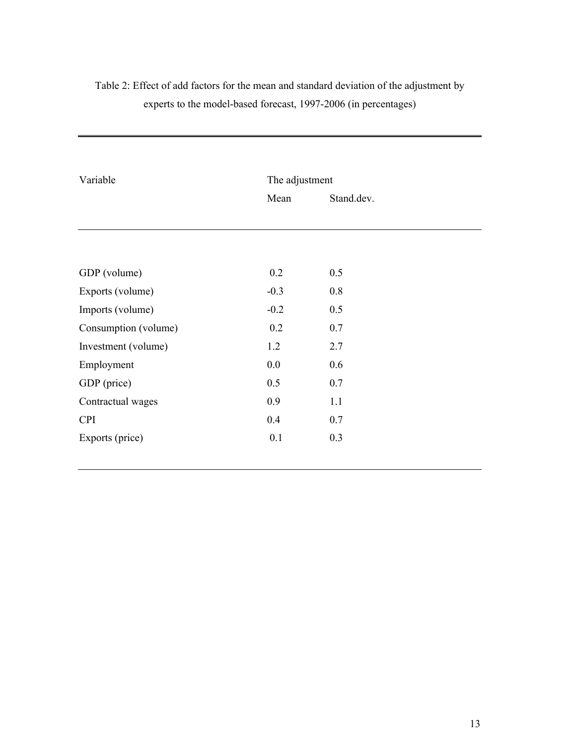| Variable             | The adjustment |            |  |  |
|----------------------|----------------|------------|--|--|
|                      | Mean           | Stand.dev. |  |  |
|                      |                |            |  |  |
| GDP (volume)         | 0.2            | 0.5        |  |  |
| Exports (volume)     | $-0.3$         | 0.8        |  |  |
| Imports (volume)     | $-0.2$         | 0.5        |  |  |
| Consumption (volume) | 0.2            | 0.7        |  |  |
| Investment (volume)  | 1.2            | 2.7        |  |  |
| Employment           | 0.0            | 0.6        |  |  |
| GDP (price)          | 0.5            | 0.7        |  |  |
| Contractual wages    | 0.9            | 1.1        |  |  |
| <b>CPI</b>           | 0.4            | 0.7        |  |  |
| Exports (price)      | 0.1            | 0.3        |  |  |
|                      |                |            |  |  |

# Table 2: Effect of add factors for the mean and standard deviation of the adjustment by experts to the model-based forecast, 1997-2006 (in percentages)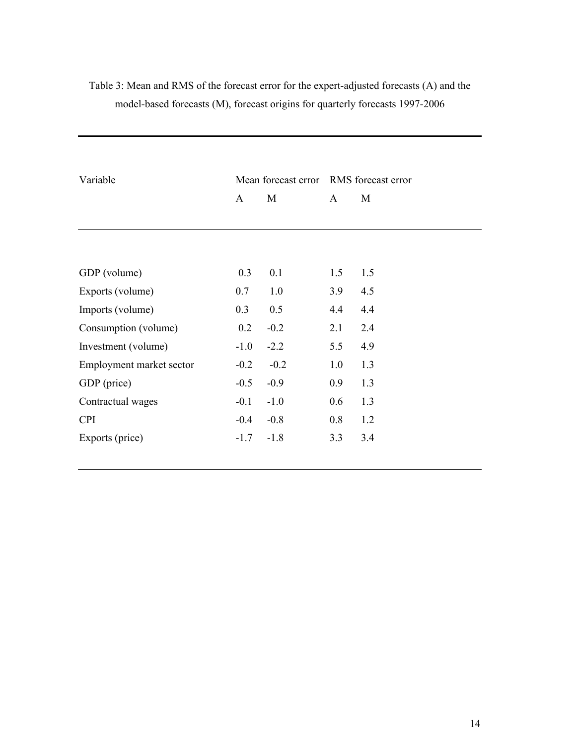|                          |        |        | Mean forecast error RMS forecast error |     |
|--------------------------|--------|--------|----------------------------------------|-----|
| Variable                 |        |        |                                        |     |
|                          | A      | M      | $\mathsf{A}$                           | M   |
|                          |        |        |                                        |     |
|                          |        |        |                                        |     |
| GDP (volume)             | 0.3    | 0.1    | 1.5                                    | 1.5 |
| Exports (volume)         | 0.7    | 1.0    | 3.9                                    | 4.5 |
| Imports (volume)         | 0.3    | 0.5    | 4.4                                    | 4.4 |
| Consumption (volume)     | 0.2    | $-0.2$ | 2.1                                    | 2.4 |
| Investment (volume)      | $-1.0$ | $-2.2$ | 5.5                                    | 4.9 |
| Employment market sector | $-0.2$ | $-0.2$ | 1.0                                    | 1.3 |
| GDP (price)              | $-0.5$ | $-0.9$ | 0.9                                    | 1.3 |
| Contractual wages        | $-0.1$ | $-1.0$ | 0.6                                    | 1.3 |
| <b>CPI</b>               | $-0.4$ | $-0.8$ | 0.8                                    | 1.2 |
| Exports (price)          | $-1.7$ | $-1.8$ | 3.3                                    | 3.4 |
|                          |        |        |                                        |     |

## Table 3: Mean and RMS of the forecast error for the expert-adjusted forecasts (A) and the model-based forecasts (M), forecast origins for quarterly forecasts 1997-2006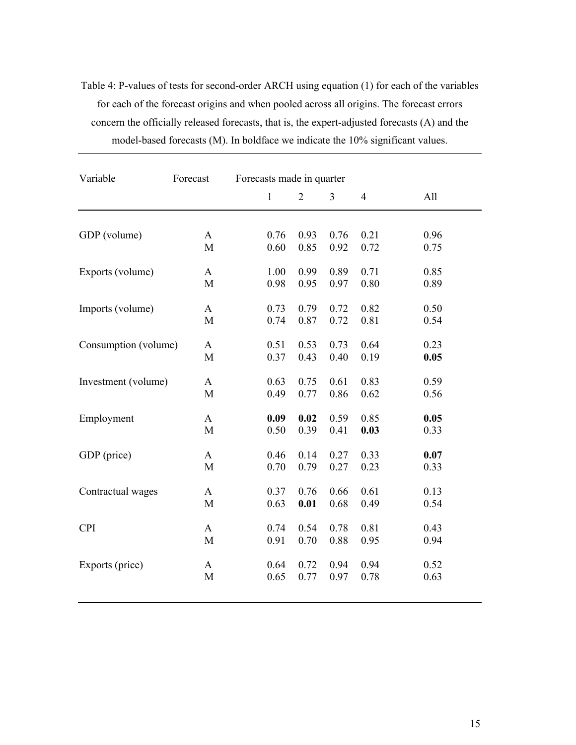Table 4: P-values of tests for second-order ARCH using equation (1) for each of the variables for each of the forecast origins and when pooled across all origins. The forecast errors concern the officially released forecasts, that is, the expert-adjusted forecasts (A) and the model-based forecasts (M). In boldface we indicate the 10% significant values.

| Variable             | Forecast     | Forecasts made in quarter |                |      |                |      |
|----------------------|--------------|---------------------------|----------------|------|----------------|------|
|                      |              | $\mathbf{1}$              | $\overline{2}$ | 3    | $\overline{4}$ | All  |
|                      |              |                           |                |      |                |      |
| GDP (volume)         | $\mathbf{A}$ | 0.76                      | 0.93           | 0.76 | 0.21           | 0.96 |
|                      | M            | 0.60                      | 0.85           | 0.92 | 0.72           | 0.75 |
| Exports (volume)     | A            | 1.00                      | 0.99           | 0.89 | 0.71           | 0.85 |
|                      | M            | 0.98                      | 0.95           | 0.97 | 0.80           | 0.89 |
| Imports (volume)     | A            | 0.73                      | 0.79           | 0.72 | 0.82           | 0.50 |
|                      | M            | 0.74                      | 0.87           | 0.72 | 0.81           | 0.54 |
| Consumption (volume) | A            | 0.51                      | 0.53           | 0.73 | 0.64           | 0.23 |
|                      | $\mathbf M$  | 0.37                      | 0.43           | 0.40 | 0.19           | 0.05 |
| Investment (volume)  | $\mathbf{A}$ | 0.63                      | 0.75           | 0.61 | 0.83           | 0.59 |
|                      | M            | 0.49                      | 0.77           | 0.86 | 0.62           | 0.56 |
| Employment           | A            | 0.09                      | 0.02           | 0.59 | 0.85           | 0.05 |
|                      | M            | 0.50                      | 0.39           | 0.41 | 0.03           | 0.33 |
| GDP (price)          | A            | 0.46                      | 0.14           | 0.27 | 0.33           | 0.07 |
|                      | M            | 0.70                      | 0.79           | 0.27 | 0.23           | 0.33 |
| Contractual wages    | A            | 0.37                      | 0.76           | 0.66 | 0.61           | 0.13 |
|                      | M            | 0.63                      | 0.01           | 0.68 | 0.49           | 0.54 |
| <b>CPI</b>           | A            | 0.74                      | 0.54           | 0.78 | 0.81           | 0.43 |
|                      | M            | 0.91                      | 0.70           | 0.88 | 0.95           | 0.94 |
|                      |              |                           |                |      |                |      |
| Exports (price)      | A            | 0.64                      | 0.72           | 0.94 | 0.94           | 0.52 |
|                      | M            | 0.65                      | 0.77           | 0.97 | 0.78           | 0.63 |
|                      |              |                           |                |      |                |      |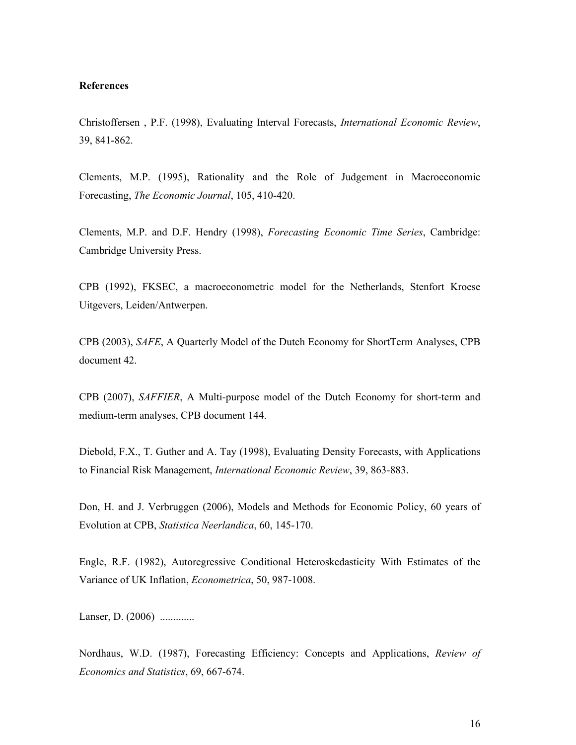## **References**

Christoffersen, P.F. (1998), Evaluating Interval Forecasts, International Economic Review, 39, 841-862.

Clements, M.P. (1995), Rationality and the Role of Judgement in Macroeconomic Forecasting, The Economic Journal, 105, 410-420.

Clements, M.P. and D.F. Hendry (1998), Forecasting Economic Time Series, Cambridge: Cambridge University Press.

CPB (1992), FKSEC, a macroeconometric model for the Netherlands, Stenfort Kroese Uitgevers, Leiden/Antwerpen.

CPB (2003), SAFE, A Quarterly Model of the Dutch Economy for ShortTerm Analyses, CPB document 42.

CPB (2007), SAFFIER, A Multi-purpose model of the Dutch Economy for short-term and medium-term analyses, CPB document 144.

Diebold, F.X., T. Guther and A. Tay (1998), Evaluating Density Forecasts, with Applications to Financial Risk Management, *International Economic Review*, 39, 863-883.

Don, H. and J. Verbruggen (2006), Models and Methods for Economic Policy, 60 years of Evolution at CPB, Statistica Neerlandica, 60, 145-170.

Engle, R.F. (1982), Autoregressive Conditional Heteroskedasticity With Estimates of the Variance of UK Inflation, *Econometrica*, 50, 987-1008.

Lanser, D. (2006) .............

Nordhaus, W.D. (1987), Forecasting Efficiency: Concepts and Applications, Review of Economics and Statistics, 69, 667-674.